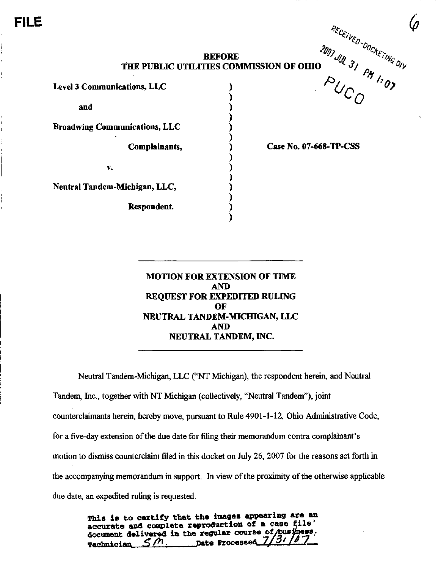FILE

## **BEFORE**  $\frac{\partial f}{\partial p}$ ,  $\frac{\partial f}{\partial p}$ THE PUBLIC UTILITIES COMMISSION OF OHIO  $\gamma$   $\gamma$   $\gamma$

Level 3 Communications, LLC

and

Broadwing Communications, LLC

Complainants,

V.

Neutral Tandem-Michigan, LLC,

Respondent.

Case No. 07-668-TP-CSS

 $\begin{array}{cc} \nabla U_{C_O} & \nabla \cdot \nabla \nabla \cdot \nabla \cdot \nabla \cdot \nabla \cdot \nabla \cdot \nabla \cdot \nabla \cdot \nabla \cdot \nabla \cdot \nabla \cdot \nabla \cdot \nabla \cdot \nabla \cdot \nabla \cdot \nabla \cdot \nabla \cdot \nabla \cdot \nabla \cdot \nabla \cdot \nabla \cdot \nabla \cdot \nabla \cdot \nabla \cdot \nabla \cdot \nabla \cdot \nabla \cdot \nabla \cdot \nabla \cdot \nabla \cdot \nabla \cdot \nabla \cdot \nabla \cdot \$ 

MOTION FOR EXTENSION OF TIME AND REQUEST FOR EXPEDITED RULING OF NEUTRAL TANDEM-MICHIGAN, LLC AND NEUTRAL TANDEM, INC.

Neutral Tandem-Michigan, LLC ("NT Michigan), the respondent herein, and Neutral Tandem, Inc., together with NT Michigan (collectively, "Neutral Tandem"), joint counterclaimants herein, hereby move, pursuant to Rule 4901-1-12, Ohio Administrative Code, for a five-day extension of the due date for filing their memorandum contra complainant's motion to dismiss counterclaim filed in this docket on July 26, 2007 for the reasons set forth in the accompanying memorandum in support. In view of the proximity of the otherwise applicable due date, an expedited ruling is requested.

> This is to certify that the images appearing are an accurate and complete reproduction of a case file' document delivered in the regular course of business.  $\leq$  $\mathcal{M}$ *pate Processed.*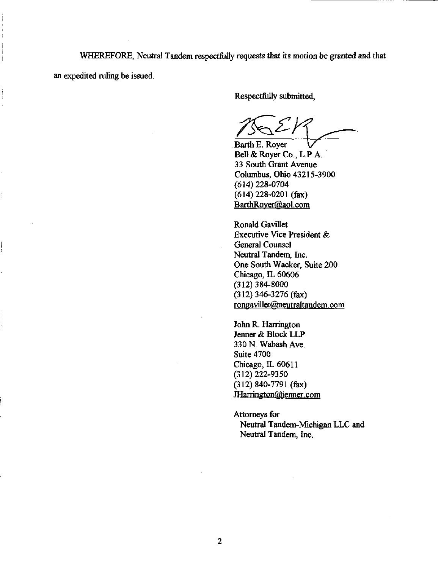WHEREFORE, Neutral Tandem respectfully requests that its motion be granted and that an expedited ruling be issued.

Į

Respectfully submitted.

Barth E. Royer

Bell&RoyerCo.,L.P.A. 33 South Grant Avenue Columbus, Ohio 43215-3900 (614)228-0704 (614) 228-0201 (fax) BarthRoyer@aol.com

Ronald Gavillet Executive Vice President & General Counsel Neutral Tandem, Inc. One South Wacker, Suite 200 Chicago, IL 60606 (312)384-8000 (312) 346-3276 (fax) rongavillet@neutraltandem.com

John R. Harrington Jenner & Block LLP 330 N.Wabash Ave. Suite 4700 Chicago, IL 60611 (312)222-9350 (312) 840-7791 (fax) [JHarrington@ienner.com](mailto:JHarrington@ienner.com) 

Attorneys for Neutral Tandem-Michigan LLC and Neutral Tandem, Inc.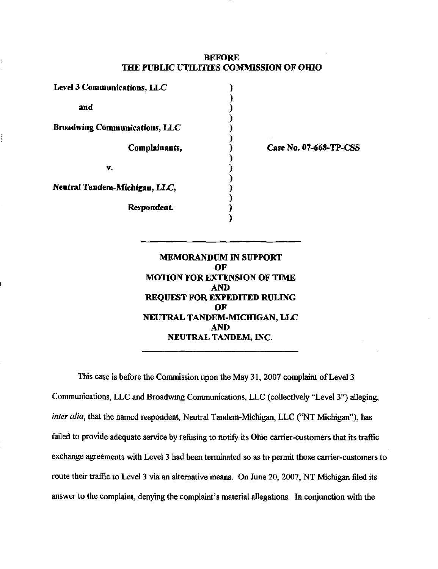## BEFORE THE PUBLIC UTILTTIES COMMISSION OF OHIO

| <b>Level 3 Communications, LLC</b>   |               |
|--------------------------------------|---------------|
| and                                  |               |
| <b>Broadwing Communications, LLC</b> |               |
|                                      | Complainants, |
| v.                                   |               |
| Neutral Tandem-Michigan, LLC,        |               |
|                                      | Respondent.   |

Case No. 07.668.TP-CSS

MEMORANDUM IN SUPPORT OF MOTION FOR EXTENSION OF TIME AND REQUEST FOR EXPEDITED RULING OF NEUTRAL TANDEM-MICHIGAN, LLC AND NEUTRAL TANDEM, INC.

This case is before the Commission upon the May 31, 2007 complaint of Level 3 Communications, LLC and Broadwing Communications, LLC (collectively "Level 3") alleging, inter alia, that the named respondent, Neutral Tandem-Michigan, LLC ("NT Michigan"), has failed to provide adequate service by refusing to notify its Ohio carrier-customers that its traffic exchange agreements with Level 3 had been terminated so as to permit those carrier-customers to route their traffic to Level 3 via an alternative means. On June 20, 2007, NT Michigan filed its answer to the complaint, denying the complaint's material allegations. In conjunction with the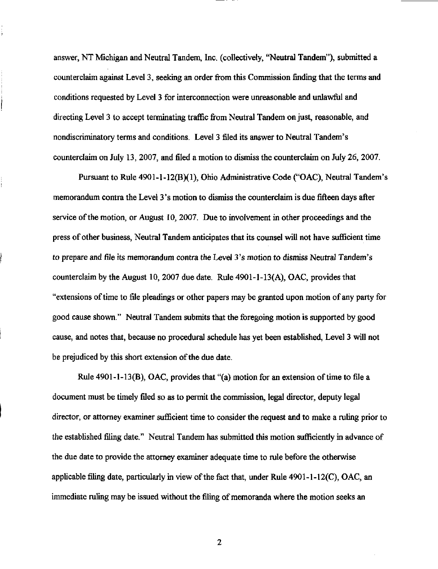answer, NT Michigan and Neutral Tandem, Inc. (collectively, "Neutral Tandem"), submitted a counterclaim against Level 3, seeking an order from this Commission finding that the terms and conditions requested by Level 3 for interconnection were unreasonable and unlawful and directing Level 3 to accept terminating traffic from Neutral Tandem on just, reasonable, and nondiscriminatory terms and conditions. Level 3 filed its answer to Neutral Tandem's counterclaim on July 13, 2007, and filed a motion to dismiss the counterclaim on July 26, 2007.

Pursuant to Rule 4901-1-12(B)(1), Ohio Administrative Code ("OAC), Neutral Tandem's memorandum contra the Level 3's motion to dismiss the counterclaim is due fifteen days after service of the motion, or August 10, 2007. Due to involvement in other proceedings and the press of other business, Neutral Tandem anticipates that its counsel will not have sufficient time to prepare and file its memorandum contra the Level 3 's motion to dismiss Neutral Tandem's counterclaim by the August 10, 2007 due date. Rule  $4901 - 1 - 13(A)$ , OAC, provides that "extensions of time to file pleadings or other papers may be granted upon motion of any party for good cause shown." Neutral Tandem submits that the foregoing motion is supported by good cause, and notes that, because no procedural schedule has yet been established. Level 3 will not be prejudiced by this short extension of the due date.

Rule 4901-1-13(B), OAC, provides that "(a) motion for an extension of time to file a document must be timely filed so as to permit the commission, legal director, deputy legal director, or attorney examiner sufficient time to consider the request and to make a ruling prior to the established filing date." Neutral Tandem has submitted this motion sufficiently in advance of the due date to provide the attorney examiner adequate time to rule before the otherwise applicable filing date, particularly in view of the fact that, under Rule 4901-l-12(C), OAC, an immediate ruling may be issued without the filing of memoranda where the motion seeks an

 $\overline{c}$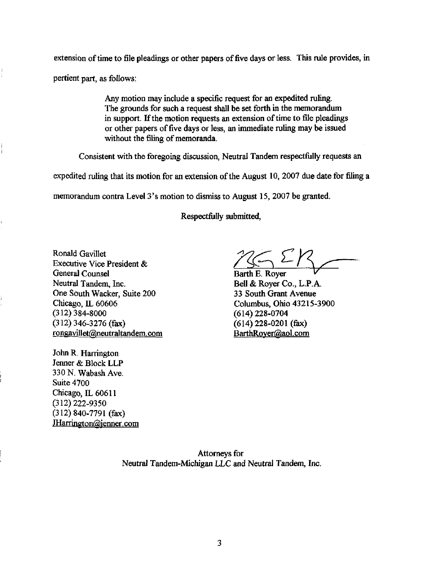extension of time to file pleadings or other papers of five days or less. This rule provides, in pertient part, as follows:

> Any motion may include a specific request for an expedited ruling. The grounds for such a request shall be set forth in the memorandum<br>in support. If the motion requests an extension of time to file pleadings or other papers of five days or less, an immediate ruling may be issued without the filing of memoranda.

Consistent with the foregoing discussion, Neutral Tandem respectfully requests an

Consistent with the foregoing discussion, Neutral Tandem respectfully requests an  $\frac{1}{2}$  function and the the motion for an extension of the August 10, 2007 due date for filing a

memorandum contra Level 3's motion to dismiss to August 15, 2007 be granted.

Respectfully submitted,

Ronald Gavillet Executive Vice President & General Counsel Neutral Tandem, Inc. One South Wacker, Suite 200 Chicago, IL 60606 (312)384-8000 (312) 346-3276 (fax) rongavillet@neutraltandem. com

John R. Harrington Jenner & Block LLP 330 N.Wabash Ave. Suite 4700 Chicago, IL 60611 (312)222-9350 (312)840-7791 (fax) IHarrington@jenner.com

Barth E.Royer ^ Bell&RoyerCo., L.P.A. 33 South Grant Avenue Columbus, Ohio 43215-3900 (614) 228-0704  $(614)$  228-0201 (fax) BarthRoyer@aol.com

Attorneys for Neutral Tandem-Michigan LLC and Neutral Tandem, Inc.